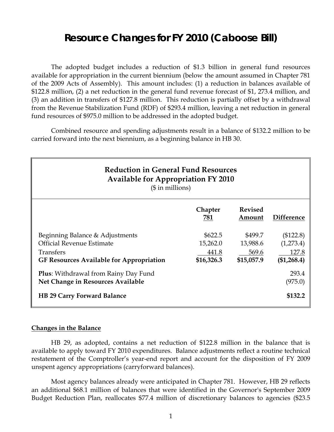# **Resource Changes for FY 2010 (Caboose Bill)**

 The adopted budget includes a reduction of \$1.3 billion in general fund resources available for appropriation in the current biennium (below the amount assumed in Chapter 781 of the 2009 Acts of Assembly). This amount includes: (1) a reduction in balances available of \$122.8 million, (2) a net reduction in the general fund revenue forecast of \$1, 273.4 million, and (3) an addition in transfers of \$127.8 million. This reduction is partially offset by a withdrawal from the Revenue Stabilization Fund (RDF) of \$293.4 million, leaving a net reduction in general fund resources of \$975.0 million to be addressed in the adopted budget.

Combined resource and spending adjustments result in a balance of \$132.2 million to be carried forward into the next biennium, as a beginning balance in HB 30.

| <b>Reduction in General Fund Resources</b><br><b>Available for Appropriation FY 2010</b><br>$($$ in millions)                       |                                            |                                            |                                                |
|-------------------------------------------------------------------------------------------------------------------------------------|--------------------------------------------|--------------------------------------------|------------------------------------------------|
|                                                                                                                                     | Chapter<br>781                             | <b>Revised</b><br>Amount                   | <b>Difference</b>                              |
| Beginning Balance & Adjustments<br><b>Official Revenue Estimate</b><br>Transfers<br><b>GF Resources Available for Appropriation</b> | \$622.5<br>15,262.0<br>441.8<br>\$16,326.3 | \$499.7<br>13,988.6<br>569.6<br>\$15,057.9 | (\$122.8)<br>(1,273.4)<br>127.8<br>(\$1,268.4) |
| <b>Plus:</b> Withdrawal from Rainy Day Fund<br>Net Change in Resources Available<br><b>HB 29 Carry Forward Balance</b>              |                                            |                                            | 293.4<br>(975.0)<br>\$132.2                    |

#### **Changes in the Balance**

HB 29, as adopted, contains a net reduction of \$122.8 million in the balance that is available to apply toward FY 2010 expenditures. Balance adjustments reflect a routine technical restatement of the Comptroller's year-end report and account for the disposition of FY 2009 unspent agency appropriations (carryforward balances).

Most agency balances already were anticipated in Chapter 781. However, HB 29 reflects an additional \$68.1 million of balances that were identified in the Governor's September 2009 Budget Reduction Plan, reallocates \$77.4 million of discretionary balances to agencies (\$23.5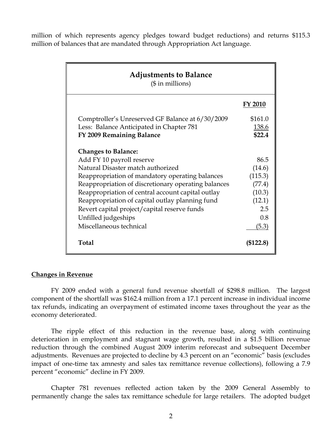million of which represents agency pledges toward budget reductions) and returns \$115.3 million of balances that are mandated through Appropriation Act language.

| <b>Adjustments to Balance</b><br>$($$ in millions)                                           |                |
|----------------------------------------------------------------------------------------------|----------------|
|                                                                                              | <b>FY 2010</b> |
| Comptroller's Unreserved GF Balance at 6/30/2009                                             | \$161.0        |
| Less: Balance Anticipated in Chapter 781                                                     | 138.6          |
| FY 2009 Remaining Balance                                                                    | \$22.4         |
| <b>Changes to Balance:</b><br>Add FY 10 payroll reserve<br>Natural Disaster match authorized | 86.5<br>(14.6) |
| Reappropriation of mandatory operating balances                                              | (115.3)        |
| Reappropriation of discretionary operating balances                                          | (77.4)         |
| Reappropriation of central account capital outlay                                            | (10.3)         |
| Reappropriation of capital outlay planning fund                                              | (12.1)         |
| Revert capital project/capital reserve funds                                                 | 2.5            |
| Unfilled judgeships                                                                          | 0.8            |
| Miscellaneous technical                                                                      | (5.3)          |
| <b>Total</b>                                                                                 | (\$122.8)      |

#### **Changes in Revenue**

 FY 2009 ended with a general fund revenue shortfall of \$298.8 million. The largest component of the shortfall was \$162.4 million from a 17.1 percent increase in individual income tax refunds, indicating an overpayment of estimated income taxes throughout the year as the economy deteriorated.

The ripple effect of this reduction in the revenue base, along with continuing deterioration in employment and stagnant wage growth, resulted in a \$1.5 billion revenue reduction through the combined August 2009 interim reforecast and subsequent December adjustments. Revenues are projected to decline by 4.3 percent on an "economic" basis (excludes impact of one-time tax amnesty and sales tax remittance revenue collections), following a 7.9 percent "economic" decline in FY 2009.

Chapter 781 revenues reflected action taken by the 2009 General Assembly to permanently change the sales tax remittance schedule for large retailers. The adopted budget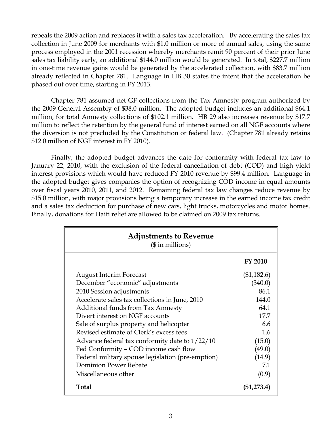repeals the 2009 action and replaces it with a sales tax acceleration. By accelerating the sales tax collection in June 2009 for merchants with \$1.0 million or more of annual sales, using the same process employed in the 2001 recession whereby merchants remit 90 percent of their prior June sales tax liability early, an additional \$144.0 million would be generated. In total, \$227.7 million in one-time revenue gains would be generated by the accelerated collection, with \$83.7 million already reflected in Chapter 781. Language in HB 30 states the intent that the acceleration be phased out over time, starting in FY 2013.

Chapter 781 assumed net GF collections from the Tax Amnesty program authorized by the 2009 General Assembly of \$38.0 million. The adopted budget includes an additional \$64.1 million, for total Amnesty collections of \$102.1 million. HB 29 also increases revenue by \$17.7 million to reflect the retention by the general fund of interest earned on all NGF accounts where the diversion is not precluded by the Constitution or federal law. (Chapter 781 already retains \$12.0 million of NGF interest in FY 2010).

Finally, the adopted budget advances the date for conformity with federal tax law to January 22, 2010, with the exclusion of the federal cancellation of debt (COD) and high yield interest provisions which would have reduced FY 2010 revenue by \$99.4 million. Language in the adopted budget gives companies the option of recognizing COD income in equal amounts over fiscal years 2010, 2011, and 2012. Remaining federal tax law changes reduce revenue by \$15.0 million, with major provisions being a temporary increase in the earned income tax credit and a sales tax deduction for purchase of new cars, light trucks, motorcycles and motor homes. Finally, donations for Haiti relief are allowed to be claimed on 2009 tax returns.

| <b>Adjustments to Revenue</b><br>$($$ in millions) |             |
|----------------------------------------------------|-------------|
|                                                    | FY 2010     |
| <b>August Interim Forecast</b>                     | (\$1,182.6) |
| December "economic" adjustments                    | (340.0)     |
| 2010 Session adjustments                           | 86.1        |
| Accelerate sales tax collections in June, 2010     | 144.0       |
| <b>Additional funds from Tax Amnesty</b>           | 64.1        |
| Divert interest on NGF accounts                    | 17.7        |
| Sale of surplus property and helicopter            | 6.6         |
| Revised estimate of Clerk's excess fees            | 1.6         |
| Advance federal tax conformity date to $1/22/10$   | (15.0)      |
| Fed Conformity - COD income cash flow              | (49.0)      |
| Federal military spouse legislation (pre-emption)  | (14.9)      |
| <b>Dominion Power Rebate</b>                       | 7.1         |
| Miscellaneous other                                | (0.9)       |
| Total                                              | (\$1,273.4) |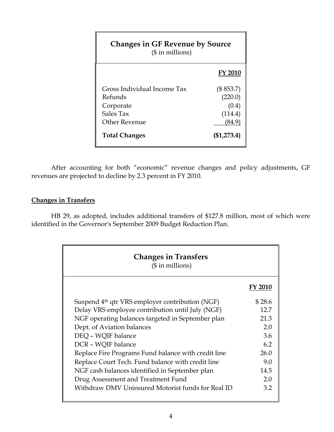| <b>Changes in GF Revenue by Source</b><br>$($$ in millions)                       |                                                   |  |
|-----------------------------------------------------------------------------------|---------------------------------------------------|--|
|                                                                                   | <b>FY 2010</b>                                    |  |
| Gross Individual Income Tax<br>Refunds<br>Corporate<br>Sales Tax<br>Other Revenue | (\$853.7)<br>(220.0)<br>(0.4)<br>(114.4)<br>84.9` |  |
| <b>Total Changes</b>                                                              | $(\$1,273.4)$                                     |  |

 After accounting for both "economic" revenue changes and policy adjustments, GF revenues are projected to decline by 2.3 percent in FY 2010.

## **Changes in Transfers**

 HB 29, as adopted, includes additional transfers of \$127.8 million, most of which were identified in the Governor's September 2009 Budget Reduction Plan.

| <b>Changes in Transfers</b><br>$($$ in millions)            |         |
|-------------------------------------------------------------|---------|
|                                                             | FY 2010 |
| Suspend 4 <sup>th</sup> qtr VRS employer contribution (NGF) | \$28.6  |
| Delay VRS employee contribution until July (NGF)            | 12.7    |
| NGF operating balances targeted in September plan           | 21.3    |
| Dept. of Aviation balances                                  | 2.0     |
| DEO - WOIF balance                                          | 3.6     |
| DCR - WQIF balance                                          | 6.2     |
| Replace Fire Programs Fund balance with credit line         | 26.0    |
| Replace Court Tech. Fund balance with credit line           | 9.0     |
| NGF cash balances identified in September plan              | 14.5    |
| Drug Assessment and Treatment Fund                          | 2.0     |
| Withdraw DMV Uninsured Motorist funds for Real ID           | 3.2     |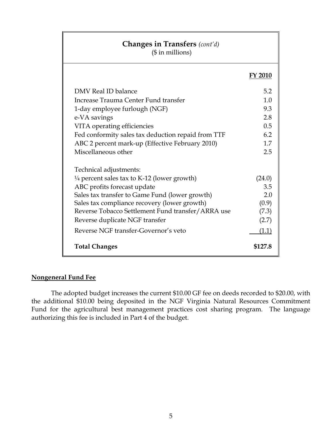# **Changes in Transfers** *(cont'd)*

(\$ in millions)

#### **FY 2010**

| DMV Real ID balance                                    | 5.2     |
|--------------------------------------------------------|---------|
|                                                        |         |
| Increase Trauma Center Fund transfer                   | 1.0     |
| 1-day employee furlough (NGF)                          | 9.3     |
| e-VA savings                                           | 2.8     |
| VITA operating efficiencies                            | 0.5     |
| Fed conformity sales tax deduction repaid from TTF     | 6.2     |
| ABC 2 percent mark-up (Effective February 2010)        | 1.7     |
| Miscellaneous other                                    | 2.5     |
|                                                        |         |
| Technical adjustments:                                 |         |
| $\frac{1}{4}$ percent sales tax to K-12 (lower growth) | (24.0)  |
| ABC profits forecast update                            | 3.5     |
| Sales tax transfer to Game Fund (lower growth)         | 2.0     |
| Sales tax compliance recovery (lower growth)           | (0.9)   |
| Reverse Tobacco Settlement Fund transfer/ARRA use      | (7.3)   |
| Reverse duplicate NGF transfer                         | (2.7)   |
| Reverse NGF transfer-Governor's veto                   | (1.1)   |
| <b>Total Changes</b>                                   | \$127.8 |

### **Nongeneral Fund Fee**

The adopted budget increases the current \$10.00 GF fee on deeds recorded to \$20.00, with the additional \$10.00 being deposited in the NGF Virginia Natural Resources Commitment Fund for the agricultural best management practices cost sharing program. The language authorizing this fee is included in Part 4 of the budget.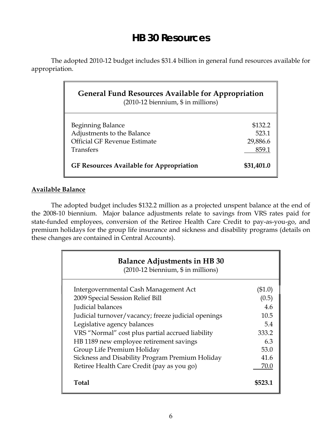# **HB 30 Resources**

 The adopted 2010-12 budget includes \$31.4 billion in general fund resources available for appropriation.

| <b>General Fund Resources Available for Appropriation</b><br>$(2010-12$ biennium, $$$ in millions)  |                                       |  |
|-----------------------------------------------------------------------------------------------------|---------------------------------------|--|
| Beginning Balance<br>Adjustments to the Balance<br>Official GF Revenue Estimate<br><b>Transfers</b> | \$132.2<br>523.1<br>29,886.6<br>859.1 |  |
| <b>GF Resources Available for Appropriation</b>                                                     | \$31,401.0                            |  |

### **Available Balance**

The adopted budget includes \$132.2 million as a projected unspent balance at the end of the 2008-10 biennium. Major balance adjustments relate to savings from VRS rates paid for state-funded employees, conversion of the Retiree Health Care Credit to pay-as-you-go, and premium holidays for the group life insurance and sickness and disability programs (details on these changes are contained in Central Accounts).

| <b>Balance Adjustments in HB 30</b><br>(2010-12 biennium, \$ in millions) |         |
|---------------------------------------------------------------------------|---------|
| Intergovernmental Cash Management Act                                     | (\$1.0) |
| 2009 Special Session Relief Bill                                          | (0.5)   |
| Judicial balances                                                         | 4.6     |
| Judicial turnover/vacancy; freeze judicial openings                       | 10.5    |
| Legislative agency balances                                               | 5.4     |
| VRS "Normal" cost plus partial accrued liability                          | 333.2   |
| HB 1189 new employee retirement savings                                   | 6.3     |
| Group Life Premium Holiday                                                | 53.0    |
| Sickness and Disability Program Premium Holiday                           | 41.6    |
| Retiree Health Care Credit (pay as you go)                                | 70.0    |
| Total                                                                     | \$523.1 |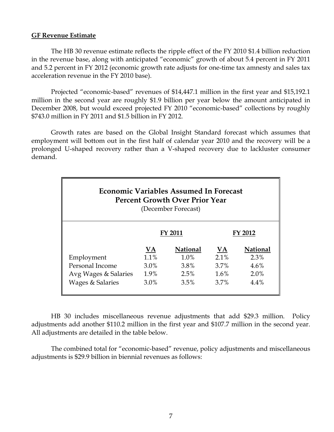#### **GF Revenue Estimate**

 The HB 30 revenue estimate reflects the ripple effect of the FY 2010 \$1.4 billion reduction in the revenue base, along with anticipated "economic" growth of about 5.4 percent in FY 2011 and 5.2 percent in FY 2012 (economic growth rate adjusts for one-time tax amnesty and sales tax acceleration revenue in the FY 2010 base).

Projected "economic-based" revenues of \$14,447.1 million in the first year and \$15,192.1 million in the second year are roughly \$1.9 billion per year below the amount anticipated in December 2008, but would exceed projected FY 2010 "economic-based" collections by roughly \$743.0 million in FY 2011 and \$1.5 billion in FY 2012.

Growth rates are based on the Global Insight Standard forecast which assumes that employment will bottom out in the first half of calendar year 2010 and the recovery will be a prolonged U-shaped recovery rather than a V-shaped recovery due to lackluster consumer demand.

| <b>Economic Variables Assumed In Forecast</b><br><b>Percent Growth Over Prior Year</b><br>(December Forecast) |                |                 |           |                 |
|---------------------------------------------------------------------------------------------------------------|----------------|-----------------|-----------|-----------------|
|                                                                                                               | <b>FY 2011</b> |                 | FY 2012   |                 |
|                                                                                                               | VA             | <b>National</b> | <b>VA</b> | <b>National</b> |
| Employment                                                                                                    | 1.1%           | $1.0\%$         | $2.1\%$   | 2.3%            |
| Personal Income                                                                                               | $3.0\%$        | 3.8%            | 3.7%      | $4.6\%$         |
| Avg Wages & Salaries                                                                                          | 1.9%           | 2.5%            | 1.6%      | $2.0\%$         |
| Wages & Salaries                                                                                              | 3.0%           | 3.5%            | 3.7%      | $4.4\%$         |

HB 30 includes miscellaneous revenue adjustments that add \$29.3 million. Policy adjustments add another \$110.2 million in the first year and \$107.7 million in the second year. All adjustments are detailed in the table below.

The combined total for "economic-based" revenue, policy adjustments and miscellaneous adjustments is \$29.9 billion in biennial revenues as follows: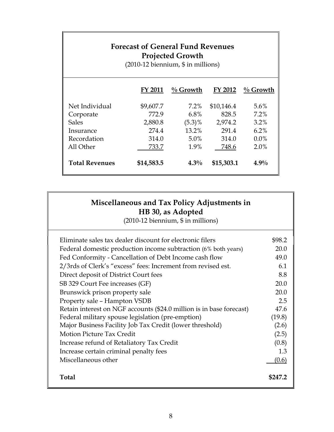| <b>Forecast of General Fund Revenues</b><br><b>Projected Growth</b><br>$(2010-12$ biennium, \$ in millions) |            |             |            |             |
|-------------------------------------------------------------------------------------------------------------|------------|-------------|------------|-------------|
|                                                                                                             | FY 2011    | $\%$ Growth | FY 2012    | $\%$ Growth |
| Net Individual                                                                                              | \$9,607.7  | $7.2\%$     | \$10,146.4 | $5.6\%$     |
| Corporate                                                                                                   | 772.9      | 6.8%        | 828.5      | 7.2%        |
| <b>Sales</b>                                                                                                | 2,880.8    | $(5.3)\%$   | 2,974.2    | 3.2%        |
| Insurance                                                                                                   | 274.4      | 13.2%       | 291.4      | $6.2\%$     |
| Recordation                                                                                                 | 314.0      | 5.0%        | 314.0      | $0.0\%$     |
| All Other                                                                                                   | 733.7      | 1.9%        | 748.6      | $2.0\%$     |
| <b>Total Revenues</b>                                                                                       | \$14,583.5 | $4.3\%$     | \$15,303.1 | $4.9\%$     |

## **Miscellaneous and Tax Policy Adjustments in HB 30, as Adopted**

(2010-12 biennium, \$ in millions)

| Eliminate sales tax dealer discount for electronic filers            | \$98.2  |
|----------------------------------------------------------------------|---------|
| Federal domestic production income subtraction (6% both years)       | 20.0    |
| Fed Conformity - Cancellation of Debt Income cash flow               | 49.0    |
| 2/3rds of Clerk's "excess" fees: Increment from revised est.         | 6.1     |
| Direct deposit of District Court fees                                | 8.8     |
| SB 329 Court Fee increases (GF)                                      | 20.0    |
| Brunswick prison property sale                                       | 20.0    |
| Property sale - Hampton VSDB                                         | 2.5     |
| Retain interest on NGF accounts (\$24.0 million is in base forecast) | 47.6    |
| Federal military spouse legislation (pre-emption)                    | (19.8)  |
| Major Business Facility Job Tax Credit (lower threshold)             | (2.6)   |
| <b>Motion Picture Tax Credit</b>                                     | (2.5)   |
| Increase refund of Retaliatory Tax Credit                            | (0.8)   |
| Increase certain criminal penalty fees                               | 1.3     |
| Miscellaneous other                                                  | (0.6)   |
| Total                                                                | \$247.2 |
|                                                                      |         |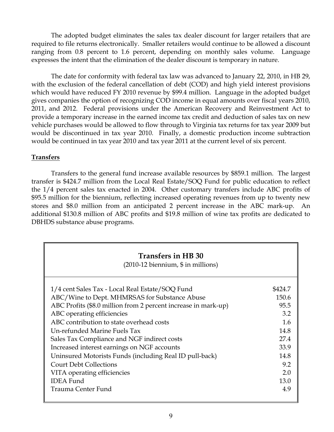The adopted budget eliminates the sales tax dealer discount for larger retailers that are required to file returns electronically. Smaller retailers would continue to be allowed a discount ranging from 0.8 percent to 1.6 percent, depending on monthly sales volume. Language expresses the intent that the elimination of the dealer discount is temporary in nature.

The date for conformity with federal tax law was advanced to January 22, 2010, in HB 29, with the exclusion of the federal cancellation of debt (COD) and high yield interest provisions which would have reduced FY 2010 revenue by \$99.4 million. Language in the adopted budget gives companies the option of recognizing COD income in equal amounts over fiscal years 2010, 2011, and 2012. Federal provisions under the American Recovery and Reinvestment Act to provide a temporary increase in the earned income tax credit and deduction of sales tax on new vehicle purchases would be allowed to flow through to Virginia tax returns for tax year 2009 but would be discontinued in tax year 2010. Finally, a domestic production income subtraction would be continued in tax year 2010 and tax year 2011 at the current level of six percent.

#### **Transfers**

 Transfers to the general fund increase available resources by \$859.1 million. The largest transfer is \$424.7 million from the Local Real Estate/SOQ Fund for public education to reflect the 1/4 percent sales tax enacted in 2004. Other customary transfers include ABC profits of \$95.5 million for the biennium, reflecting increased operating revenues from up to twenty new stores and \$8.0 million from an anticipated 2 percent increase in the ABC mark-up. An additional \$130.8 million of ABC profits and \$19.8 million of wine tax profits are dedicated to DBHDS substance abuse programs.

| <b>Transfers in HB 30</b><br>$(2010-12$ biennium, $$$ in millions) |         |
|--------------------------------------------------------------------|---------|
| 1/4 cent Sales Tax - Local Real Estate/SOQ Fund                    | \$424.7 |
| ABC/Wine to Dept. MHMRSAS for Substance Abuse                      | 150.6   |
| ABC Profits (\$8.0 million from 2 percent increase in mark-up)     | 95.5    |
| ABC operating efficiencies                                         | 3.2     |
| ABC contribution to state overhead costs                           | 1.6     |
| Un-refunded Marine Fuels Tax                                       | 14.8    |
| Sales Tax Compliance and NGF indirect costs                        | 27.4    |
| Increased interest earnings on NGF accounts                        | 33.9    |
| Uninsured Motorists Funds (including Real ID pull-back)            | 14.8    |
| <b>Court Debt Collections</b>                                      | 9.2     |
| VITA operating efficiencies                                        | 2.0     |
| <b>IDEA</b> Fund                                                   | 13.0    |
| Trauma Center Fund                                                 | 4.9     |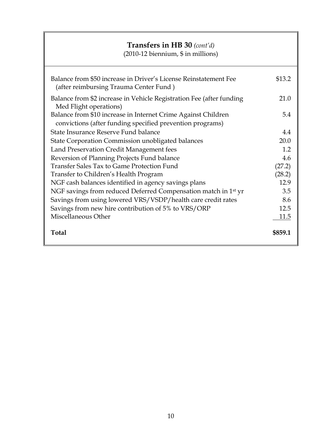## **Transfers in HB 30** *(cont'd)*

(2010-12 biennium, \$ in millions)

| Balance from \$50 increase in Driver's License Reinstatement Fee<br>(after reimbursing Trauma Center Fund)                 | \$13.2  |
|----------------------------------------------------------------------------------------------------------------------------|---------|
| Balance from \$2 increase in Vehicle Registration Fee (after funding<br>Med Flight operations)                             | 21.0    |
| Balance from \$10 increase in Internet Crime Against Children<br>convictions (after funding specified prevention programs) | 5.4     |
| State Insurance Reserve Fund balance                                                                                       | 4.4     |
| State Corporation Commission unobligated balances                                                                          | 20.0    |
| Land Preservation Credit Management fees                                                                                   | 1.2     |
| Reversion of Planning Projects Fund balance                                                                                | 4.6     |
| Transfer Sales Tax to Game Protection Fund                                                                                 | (27.2)  |
| Transfer to Children's Health Program                                                                                      | (28.2)  |
| NGF cash balances identified in agency savings plans                                                                       | 12.9    |
| NGF savings from reduced Deferred Compensation match in 1 <sup>st</sup> yr                                                 | 3.5     |
| Savings from using lowered VRS/VSDP/health care credit rates                                                               | 8.6     |
| Savings from new hire contribution of 5% to VRS/ORP                                                                        | 12.5    |
| Miscellaneous Other                                                                                                        | 11.5    |
| Total                                                                                                                      | \$859.1 |